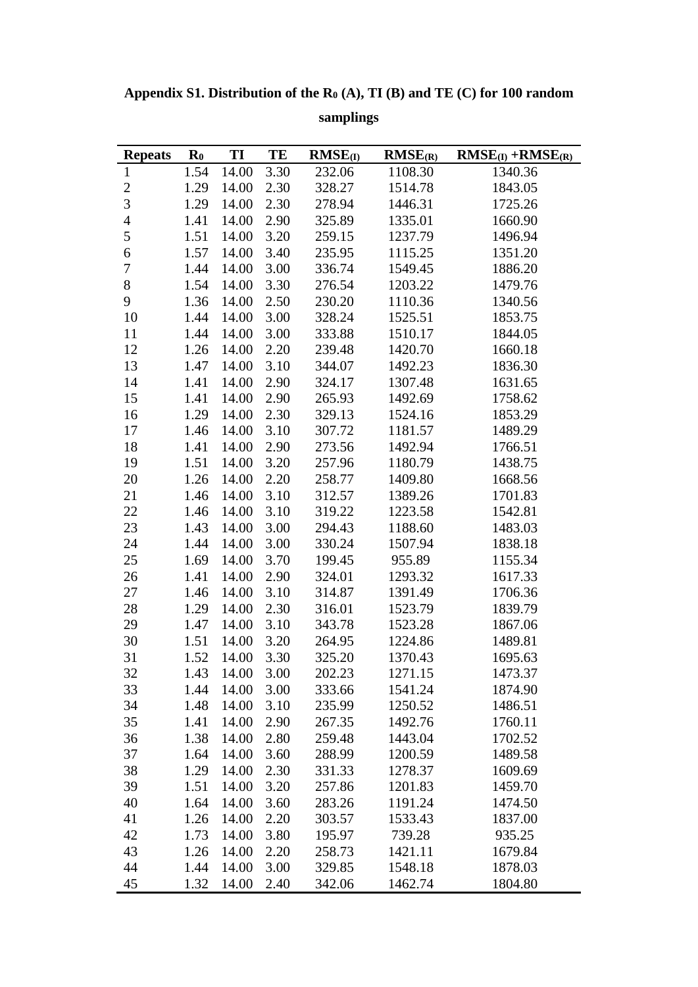**Appendix S1. Distribution of the R<sup>0</sup> (A), TI (B) and TE (C) for 100 random** 

| <b>Repeats</b> | $\mathbf{R}_0$ | TI         | TE   | $RMSE$ (I) | RMSE(R) | $RMSE$ (I) + $RMSE$ (R) |
|----------------|----------------|------------|------|------------|---------|-------------------------|
| $\mathbf{1}$   | 1.54           | 14.00      | 3.30 | 232.06     | 1108.30 | 1340.36                 |
| $\overline{c}$ | 1.29           | 14.00      | 2.30 | 328.27     | 1514.78 | 1843.05                 |
| $\overline{3}$ | 1.29           | 14.00      | 2.30 | 278.94     | 1446.31 | 1725.26                 |
| $\overline{4}$ | 1.41           | 14.00      | 2.90 | 325.89     | 1335.01 | 1660.90                 |
| 5              | 1.51           | 14.00      | 3.20 | 259.15     | 1237.79 | 1496.94                 |
| 6              | 1.57           | 14.00      | 3.40 | 235.95     | 1115.25 | 1351.20                 |
| $\overline{7}$ | 1.44           | 14.00      | 3.00 | 336.74     | 1549.45 | 1886.20                 |
| 8              | 1.54           | 14.00      | 3.30 | 276.54     | 1203.22 | 1479.76                 |
| 9              | 1.36           | 14.00      | 2.50 | 230.20     | 1110.36 | 1340.56                 |
| 10             | 1.44           | 14.00      | 3.00 | 328.24     | 1525.51 | 1853.75                 |
| 11             | 1.44           | 14.00      | 3.00 | 333.88     | 1510.17 | 1844.05                 |
| 12             | 1.26           | 14.00      | 2.20 | 239.48     | 1420.70 | 1660.18                 |
| 13             | 1.47           | 14.00      | 3.10 | 344.07     | 1492.23 | 1836.30                 |
| 14             | 1.41           | 14.00      | 2.90 | 324.17     | 1307.48 | 1631.65                 |
| 15             | 1.41           | 14.00      | 2.90 | 265.93     | 1492.69 | 1758.62                 |
| 16             | 1.29           | 14.00      | 2.30 | 329.13     | 1524.16 | 1853.29                 |
| 17             | 1.46           | 14.00      | 3.10 | 307.72     | 1181.57 | 1489.29                 |
| 18             | 1.41           | 14.00      | 2.90 | 273.56     | 1492.94 | 1766.51                 |
| 19             | 1.51           | 14.00      | 3.20 | 257.96     | 1180.79 | 1438.75                 |
| 20             | 1.26           | 14.00      | 2.20 | 258.77     | 1409.80 | 1668.56                 |
| 21             | 1.46           | 14.00      | 3.10 | 312.57     | 1389.26 | 1701.83                 |
| 22             | 1.46           | 14.00      | 3.10 | 319.22     | 1223.58 | 1542.81                 |
| 23             | 1.43           | 14.00      | 3.00 | 294.43     | 1188.60 | 1483.03                 |
| 24             | 1.44           | 14.00      | 3.00 | 330.24     | 1507.94 | 1838.18                 |
| 25             | 1.69           | 14.00      | 3.70 | 199.45     | 955.89  | 1155.34                 |
| 26             | 1.41           | 14.00      | 2.90 | 324.01     | 1293.32 | 1617.33                 |
| 27             | 1.46           | 14.00      | 3.10 | 314.87     | 1391.49 | 1706.36                 |
| 28             | 1.29           | 14.00      | 2.30 | 316.01     | 1523.79 | 1839.79                 |
| 29             | 1.47           | 14.00      | 3.10 | 343.78     | 1523.28 | 1867.06                 |
| 30             | 1.51           | 14.00      | 3.20 | 264.95     | 1224.86 | 1489.81                 |
| 31             | 1.52           | 14.00      | 3.30 | 325.20     | 1370.43 | 1695.63                 |
| 32             |                | 1.43 14.00 | 3.00 | 202.23     | 1271.15 | 1473.37                 |
| 33             | 1.44           | 14.00      | 3.00 | 333.66     | 1541.24 | 1874.90                 |
| 34             | 1.48           | 14.00      | 3.10 | 235.99     | 1250.52 | 1486.51                 |
| 35             | 1.41           | 14.00      | 2.90 | 267.35     | 1492.76 | 1760.11                 |
| 36             | 1.38           | 14.00      | 2.80 | 259.48     | 1443.04 | 1702.52                 |
| 37             | 1.64           | 14.00      | 3.60 | 288.99     | 1200.59 | 1489.58                 |
| 38             | 1.29           | 14.00      | 2.30 | 331.33     | 1278.37 | 1609.69                 |
| 39             | 1.51           | 14.00      | 3.20 | 257.86     | 1201.83 | 1459.70                 |
| 40             | 1.64           | 14.00      | 3.60 | 283.26     | 1191.24 | 1474.50                 |
| 41             | 1.26           | 14.00      | 2.20 | 303.57     | 1533.43 | 1837.00                 |
| 42             | 1.73           | 14.00      | 3.80 | 195.97     | 739.28  | 935.25                  |
| 43             | 1.26           | 14.00      | 2.20 | 258.73     | 1421.11 | 1679.84                 |
| 44             | 1.44           | 14.00      | 3.00 | 329.85     | 1548.18 | 1878.03                 |
| 45             | 1.32           | 14.00      | 2.40 | 342.06     | 1462.74 | 1804.80                 |

**samplings**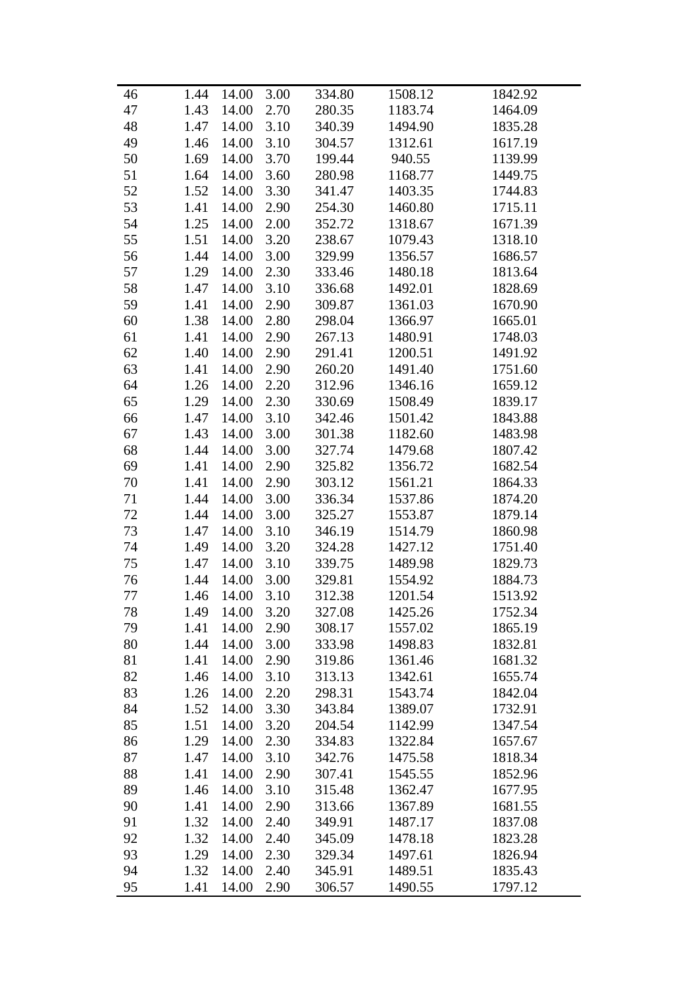| 46 | 1.44 | 14.00 | 3.00 | 334.80 | 1508.12 | 1842.92 |
|----|------|-------|------|--------|---------|---------|
| 47 | 1.43 | 14.00 | 2.70 | 280.35 | 1183.74 | 1464.09 |
| 48 | 1.47 | 14.00 | 3.10 | 340.39 | 1494.90 | 1835.28 |
| 49 | 1.46 | 14.00 | 3.10 | 304.57 | 1312.61 | 1617.19 |
| 50 | 1.69 | 14.00 | 3.70 | 199.44 | 940.55  | 1139.99 |
| 51 | 1.64 | 14.00 | 3.60 | 280.98 | 1168.77 | 1449.75 |
| 52 | 1.52 | 14.00 | 3.30 | 341.47 | 1403.35 | 1744.83 |
| 53 | 1.41 | 14.00 | 2.90 | 254.30 | 1460.80 | 1715.11 |
| 54 | 1.25 | 14.00 | 2.00 | 352.72 | 1318.67 | 1671.39 |
| 55 | 1.51 | 14.00 | 3.20 | 238.67 | 1079.43 | 1318.10 |
| 56 | 1.44 | 14.00 | 3.00 | 329.99 | 1356.57 | 1686.57 |
| 57 | 1.29 | 14.00 | 2.30 | 333.46 | 1480.18 | 1813.64 |
| 58 | 1.47 | 14.00 | 3.10 | 336.68 | 1492.01 | 1828.69 |
| 59 | 1.41 | 14.00 | 2.90 | 309.87 | 1361.03 | 1670.90 |
| 60 | 1.38 | 14.00 | 2.80 | 298.04 | 1366.97 | 1665.01 |
| 61 | 1.41 | 14.00 | 2.90 | 267.13 | 1480.91 | 1748.03 |
| 62 | 1.40 | 14.00 | 2.90 | 291.41 | 1200.51 | 1491.92 |
| 63 | 1.41 | 14.00 | 2.90 | 260.20 | 1491.40 | 1751.60 |
| 64 | 1.26 | 14.00 | 2.20 | 312.96 | 1346.16 | 1659.12 |
| 65 | 1.29 | 14.00 | 2.30 | 330.69 | 1508.49 | 1839.17 |
| 66 | 1.47 | 14.00 | 3.10 | 342.46 | 1501.42 | 1843.88 |
| 67 | 1.43 | 14.00 | 3.00 | 301.38 | 1182.60 | 1483.98 |
| 68 | 1.44 | 14.00 | 3.00 | 327.74 | 1479.68 | 1807.42 |
| 69 | 1.41 | 14.00 | 2.90 | 325.82 | 1356.72 | 1682.54 |
| 70 | 1.41 | 14.00 | 2.90 | 303.12 | 1561.21 | 1864.33 |
| 71 | 1.44 | 14.00 | 3.00 | 336.34 | 1537.86 | 1874.20 |
| 72 | 1.44 | 14.00 | 3.00 | 325.27 | 1553.87 | 1879.14 |
| 73 | 1.47 | 14.00 | 3.10 | 346.19 | 1514.79 | 1860.98 |
| 74 | 1.49 | 14.00 | 3.20 | 324.28 | 1427.12 | 1751.40 |
| 75 | 1.47 | 14.00 | 3.10 | 339.75 | 1489.98 | 1829.73 |
| 76 | 1.44 | 14.00 | 3.00 | 329.81 | 1554.92 | 1884.73 |
| 77 | 1.46 | 14.00 | 3.10 | 312.38 | 1201.54 | 1513.92 |
| 78 | 1.49 | 14.00 | 3.20 | 327.08 | 1425.26 | 1752.34 |
| 79 | 1.41 | 14.00 | 2.90 | 308.17 | 1557.02 | 1865.19 |
| 80 | 1.44 | 14.00 | 3.00 | 333.98 | 1498.83 | 1832.81 |
| 81 | 1.41 | 14.00 | 2.90 | 319.86 | 1361.46 | 1681.32 |
| 82 | 1.46 | 14.00 | 3.10 | 313.13 | 1342.61 | 1655.74 |
| 83 | 1.26 | 14.00 | 2.20 | 298.31 | 1543.74 | 1842.04 |
| 84 | 1.52 | 14.00 | 3.30 | 343.84 | 1389.07 | 1732.91 |
| 85 | 1.51 | 14.00 | 3.20 | 204.54 | 1142.99 | 1347.54 |
| 86 | 1.29 | 14.00 | 2.30 | 334.83 | 1322.84 | 1657.67 |
| 87 | 1.47 | 14.00 | 3.10 | 342.76 | 1475.58 | 1818.34 |
| 88 | 1.41 | 14.00 | 2.90 | 307.41 | 1545.55 | 1852.96 |
| 89 | 1.46 | 14.00 | 3.10 | 315.48 | 1362.47 | 1677.95 |
| 90 | 1.41 | 14.00 | 2.90 | 313.66 | 1367.89 | 1681.55 |
| 91 | 1.32 | 14.00 | 2.40 | 349.91 | 1487.17 | 1837.08 |
| 92 | 1.32 | 14.00 | 2.40 | 345.09 | 1478.18 | 1823.28 |
| 93 | 1.29 | 14.00 | 2.30 | 329.34 | 1497.61 | 1826.94 |
| 94 | 1.32 | 14.00 | 2.40 | 345.91 | 1489.51 | 1835.43 |
| 95 | 1.41 | 14.00 | 2.90 | 306.57 | 1490.55 | 1797.12 |
|    |      |       |      |        |         |         |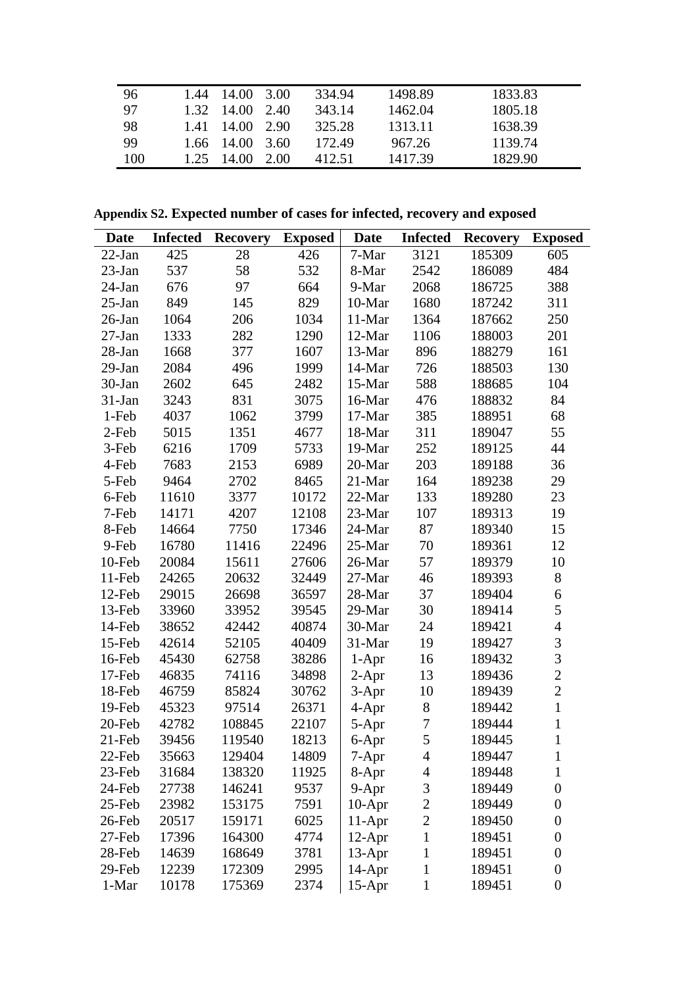| 96  | 1.44  | 14.00          | 3.00   | 334.94 | 1498.89 | 1833.83 |
|-----|-------|----------------|--------|--------|---------|---------|
| 97  | 1.32. | - 14.00        | - 2.40 | 343.14 | 1462.04 | 1805.18 |
| 98  | 1.41  | 14.00          | - 2.90 | 325.28 | 1313.11 | 1638.39 |
| 99  |       | $1.66$ $14.00$ | - 3.60 | 172.49 | 967.26  | 1139.74 |
| 100 | 1.25  | 14.00          | 2.00   | 412.51 | 1417.39 | 1829.90 |

**Appendix S2. Expected number of cases for infected, recovery and exposed**

| Date      | <b>Infected</b> | <b>Recovery</b> | <b>Exposed</b> | <b>Date</b> | <b>Infected</b>  | <b>Recovery</b> | <b>Exposed</b>           |
|-----------|-----------------|-----------------|----------------|-------------|------------------|-----------------|--------------------------|
| $22$ -Jan | 425             | 28              | 426            | 7-Mar       | 3121             | 185309          | 605                      |
| $23$ -Jan | 537             | 58              | 532            | 8-Mar       | 2542             | 186089          | 484                      |
| $24$ -Jan | 676             | 97              | 664            | 9-Mar       | 2068             | 186725          | 388                      |
| $25$ -Jan | 849             | 145             | 829            | 10-Mar      | 1680             | 187242          | 311                      |
| $26$ -Jan | 1064            | 206             | 1034           | 11-Mar      | 1364             | 187662          | 250                      |
| $27-Ian$  | 1333            | 282             | 1290           | 12-Mar      | 1106             | 188003          | 201                      |
| $28-Ian$  | 1668            | 377             | 1607           | 13-Mar      | 896              | 188279          | 161                      |
| $29-Ian$  | 2084            | 496             | 1999           | 14-Mar      | 726              | 188503          | 130                      |
| 30-Jan    | 2602            | 645             | 2482           | 15-Mar      | 588              | 188685          | 104                      |
| $31-Jan$  | 3243            | 831             | 3075           | 16-Mar      | 476              | 188832          | 84                       |
| 1-Feb     | 4037            | 1062            | 3799           | 17-Mar      | 385              | 188951          | 68                       |
| 2-Feb     | 5015            | 1351            | 4677           | 18-Mar      | 311              | 189047          | 55                       |
| 3-Feb     | 6216            | 1709            | 5733           | 19-Mar      | 252              | 189125          | 44                       |
| 4-Feb     | 7683            | 2153            | 6989           | 20-Mar      | 203              | 189188          | 36                       |
| 5-Feb     | 9464            | 2702            | 8465           | 21-Mar      | 164              | 189238          | 29                       |
| 6-Feb     | 11610           | 3377            | 10172          | 22-Mar      | 133              | 189280          | 23                       |
| 7-Feb     | 14171           | 4207            | 12108          | 23-Mar      | 107              | 189313          | 19                       |
| 8-Feb     | 14664           | 7750            | 17346          | 24-Mar      | 87               | 189340          | 15                       |
| 9-Feb     | 16780           | 11416           | 22496          | 25-Mar      | 70               | 189361          | 12                       |
| 10-Feb    | 20084           | 15611           | 27606          | 26-Mar      | 57               | 189379          | 10                       |
| 11-Feb    | 24265           | 20632           | 32449          | 27-Mar      | 46               | 189393          | 8                        |
| 12-Feb    | 29015           | 26698           | 36597          | 28-Mar      | 37               | 189404          | 6                        |
| 13-Feb    | 33960           | 33952           | 39545          | 29-Mar      | 30               | 189414          | 5                        |
| 14-Feb    | 38652           | 42442           | 40874          | 30-Mar      | 24               | 189421          | $\overline{\mathcal{L}}$ |
| 15-Feb    | 42614           | 52105           | 40409          | 31-Mar      | 19               | 189427          | 3                        |
| 16-Feb    | 45430           | 62758           | 38286          | $1-Apr$     | 16               | 189432          | $\overline{3}$           |
| 17-Feb    | 46835           | 74116           | 34898          | $2-Apr$     | 13               | 189436          | $\overline{2}$           |
| 18-Feb    | 46759           | 85824           | 30762          | $3-Apr$     | 10               | 189439          | $\overline{2}$           |
| 19-Feb    | 45323           | 97514           | 26371          | 4-Apr       | $8\,$            | 189442          | $\mathbf{1}$             |
| 20-Feb    | 42782           | 108845          | 22107          | 5-Apr       | $\boldsymbol{7}$ | 189444          | $\mathbf{1}$             |
| $21$ -Feb | 39456           | 119540          | 18213          | 6-Apr       | 5                | 189445          | $\mathbf{1}$             |
| 22-Feb    | 35663           | 129404          | 14809          | 7-Apr       | 4                | 189447          | $\mathbf 1$              |
| 23-Feb    | 31684           | 138320          | 11925          | 8-Apr       | $\overline{4}$   | 189448          | 1                        |
| 24-Feb    | 27738           | 146241          | 9537           | $9-Apr$     | $\mathfrak{Z}$   | 189449          | $\boldsymbol{0}$         |
| 25-Feb    | 23982           | 153175          | 7591           | $10-Apr$    | $\overline{c}$   | 189449          | $\boldsymbol{0}$         |
| 26-Feb    | 20517           | 159171          | 6025           | $11-Apr$    | $\overline{c}$   | 189450          | $\boldsymbol{0}$         |
| 27-Feb    | 17396           | 164300          | 4774           | 12-Apr      | $\mathbf{1}$     | 189451          | $\boldsymbol{0}$         |
| 28-Feb    | 14639           | 168649          | 3781           | $13-Apr$    | $\mathbf{1}$     | 189451          | $\boldsymbol{0}$         |
| 29-Feb    | 12239           | 172309          | 2995           | $14$ -Apr   | $\mathbf{1}$     | 189451          | $\boldsymbol{0}$         |
| 1-Mar     | 10178           | 175369          | 2374           | $15-Apr$    | $\mathbf{1}$     | 189451          | $\boldsymbol{0}$         |